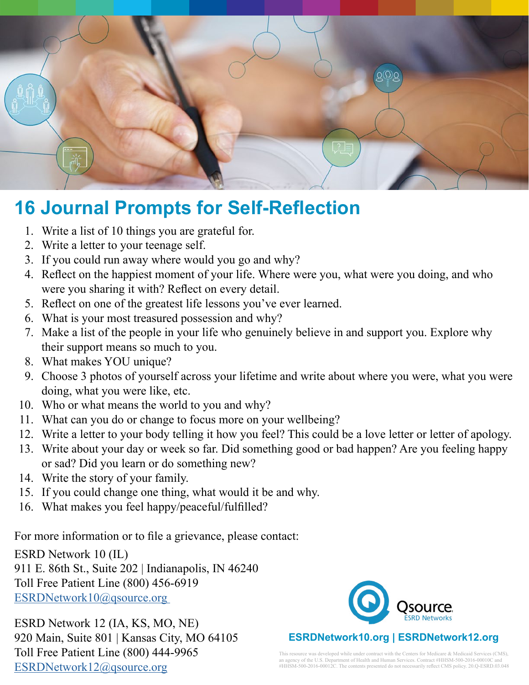

## **16 Journal Prompts for Self-Reflection**

- 1. Write a list of 10 things you are grateful for.
- 2. Write a letter to your teenage self.
- 3. If you could run away where would you go and why?
- 4. Reflect on the happiest moment of your life. Where were you, what were you doing, and who were you sharing it with? Reflect on every detail.
- 5. Reflect on one of the greatest life lessons you've ever learned.
- 6. What is your most treasured possession and why?
- 7. Make a list of the people in your life who genuinely believe in and support you. Explore why their support means so much to you.
- 8. What makes YOU unique?
- 9. Choose 3 photos of yourself across your lifetime and write about where you were, what you were doing, what you were like, etc.
- 10. Who or what means the world to you and why?
- 11. What can you do or change to focus more on your wellbeing?
- 12. Write a letter to your body telling it how you feel? This could be a love letter or letter of apology.
- 13. Write about your day or week so far. Did something good or bad happen? Are you feeling happy or sad? Did you learn or do something new?
- 14. Write the story of your family.
- 15. If you could change one thing, what would it be and why.
- 16. What makes you feel happy/peaceful/fulfilled?

For more information or to file a grievance, please contact:

ESRD Network 10 (IL)

911 E. 86th St., Suite 202 | Indianapolis, IN 46240 Toll Free Patient Line (800) 456-6919 ESRDNetwork10@qsource.org

ESRD Network 12 (IA, KS, MO, NE) 920 Main, Suite 801 | Kansas City, MO 64105 Toll Free Patient Line (800) 444-9965 [ESRDNetwork12@qsource.org](mailto:ESRDNetwork12%40qsource.org?subject=)



This resource was developed while under contract with the Centers for Medicare & Medicaid Services (CMS), an agency of the U.S. Department of Health and Human Services. Contract #HHSM-500-2016-00010C and #HHSM-500-2016-00012C. The contents presented do not necessarily reflect CMS policy. 20.Q-ESRD.03.048